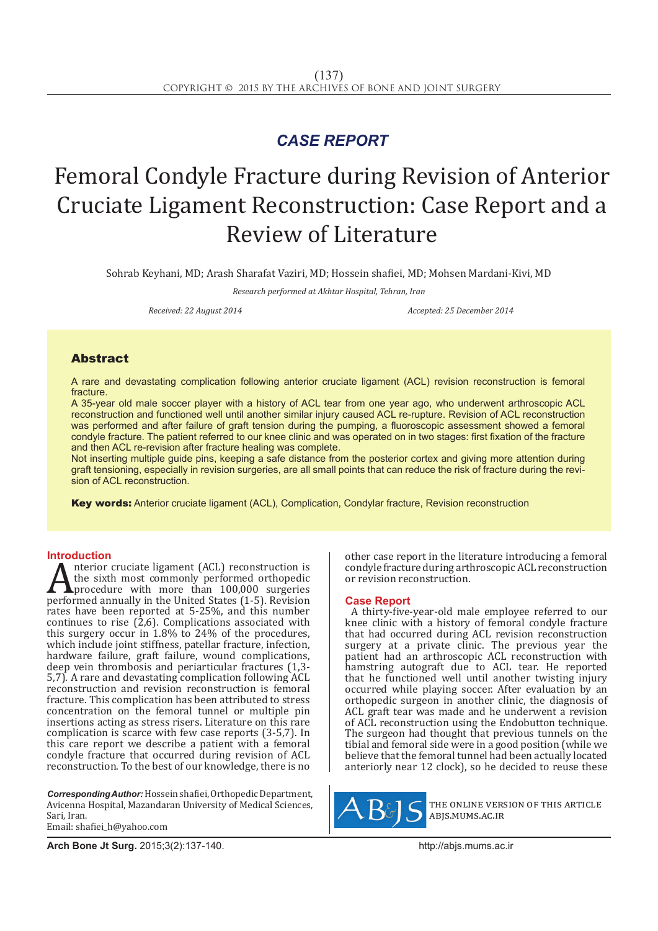## *CASE REPORT*

# Femoral Condyle Fracture during Revision of Anterior Cruciate Ligament Reconstruction: Case Report and a Review of Literature

Sohrab Keyhani, MD; Arash Sharafat Vaziri, MD; Hossein shafiei, MD; Mohsen Mardani-Kivi, MD

*Research performed at Akhtar Hospital, Tehran, Iran*

*Received: 22 August 2014 Accepted: 25 December 2014*

### Abstract

A rare and devastating complication following anterior cruciate ligament (ACL) revision reconstruction is femoral fracture.

A 35-year old male soccer player with a history of ACL tear from one year ago, who underwent arthroscopic ACL reconstruction and functioned well until another similar injury caused ACL re-rupture. Revision of ACL reconstruction was performed and after failure of graft tension during the pumping, a fluoroscopic assessment showed a femoral condyle fracture. The patient referred to our knee clinic and was operated on in two stages: first fixation of the fracture and then ACL re-revision after fracture healing was complete.

Not inserting multiple guide pins, keeping a safe distance from the posterior cortex and giving more attention during graft tensioning, especially in revision surgeries, are all small points that can reduce the risk of fracture during the revision of ACL reconstruction.

Key words: Anterior cruciate ligament (ACL), Complication, Condylar fracture, Revision reconstruction

**Introduction**<br>**A** nterior cruciate ligament (ACL) reconstruction is A fiterior cruciate ligament (ACL) reconstruction is<br>the sixth most commonly performed orthopedic<br>performed annually in the United States (1-5). Revision<br>rates have been reported at  $5-25\%$ , and this number the sixth most commonly performed orthopedic procedure with more than 100,000 surgeries performed annually in the United States (1-5). Revision rates have been reported at 5-25%, and this number continues to rise  $(2,6)$ . Complications associated with this surgery occur in 1.8% to 24% of the procedures, which include joint stiffness, patellar fracture, infection, hardware failure, graft failure, wound complications, deep vein thrombosis and periarticular fractures (1,3- 5,7). A rare and devastating complication following ACL reconstruction and revision reconstruction is femoral fracture. This complication has been attributed to stress concentration on the femoral tunnel or multiple pin insertions acting as stress risers. Literature on this rare complication is scarce with few case reports (3-5,7). In this care report we describe a patient with a femoral condyle fracture that occurred during revision of ACL reconstruction. To the best of our knowledge, there is no

*Corresponding Author:*Hossein shafiei, Orthopedic Department, Avicenna Hospital, Mazandaran University of Medical Sciences, Sari, Iran. Email: shafiei\_h@yahoo.com

other case report in the literature introducing a femoral condyle fracture during arthroscopic ACL reconstruction or revision reconstruction.

### **Case Report**

A thirty-five-year-old male employee referred to our knee clinic with a history of femoral condyle fracture that had occurred during ACL revision reconstruction surgery at a private clinic. The previous year the patient had an arthroscopic ACL reconstruction with hamstring autograft due to ACL tear. He reported that he functioned well until another twisting injury occurred while playing soccer. After evaluation by an orthopedic surgeon in another clinic, the diagnosis of ACL graft tear was made and he underwent a revision of ACL reconstruction using the Endobutton technique. The surgeon had thought that previous tunnels on the tibial and femoral side were in a good position (while we believe that the femoral tunnel had been actually located anteriorly near 12 clock), so he decided to reuse these



the online version of this article abjs.mums.ac.ir

**Arch Bone Jt Surg.** 2015;3(2):137-140.http://abjs.mums.ac.ir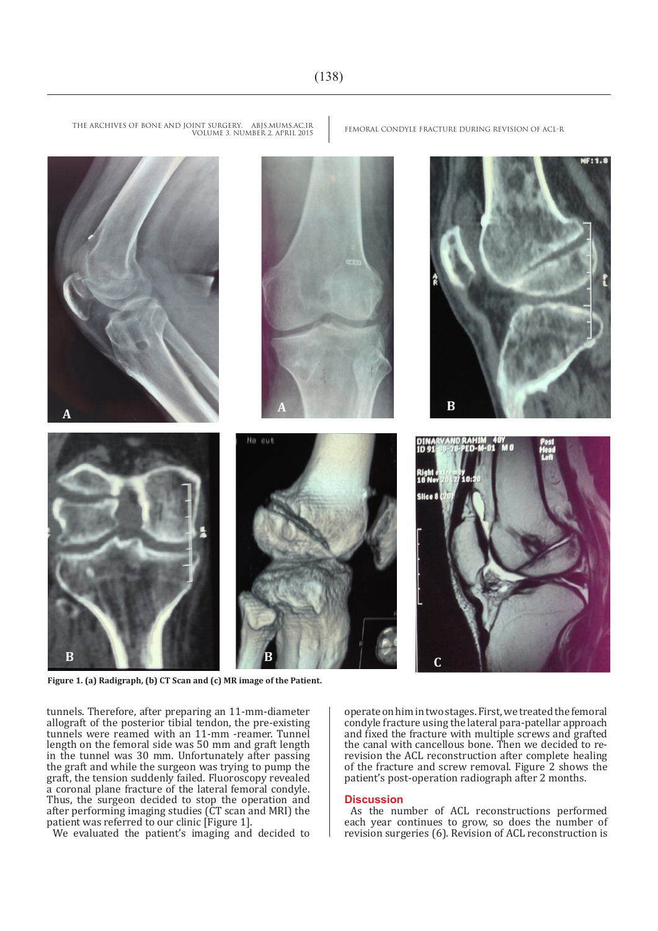

**Figure 1. (a) Radigraph, (b) CT Scan and (c) MR image of the Patient.**

tunnels. Therefore, after preparing an 11-mm-diameter allograft of the posterior tibial tendon, the pre-existing tunnels were reamed with an 11-mm -reamer. Tunnel length on the femoral side was 50 mm and graft length in the tunnel was 30 mm. Unfortunately after passing the graft and while the surgeon was trying to pump the graft, the tension suddenly failed. Fluoroscopy revealed a coronal plane fracture of the lateral femoral condyle. Thus, the surgeon decided to stop the operation and after performing imaging studies (CT scan and MRI) the patient was referred to our clinic [Figure 1].

We evaluated the patient's imaging and decided to

operate on him in two stages. First, we treated the femoral condyle fracture using the lateral para-patellar approach and fixed the fracture with multiple screws and grafted the canal with cancellous bone. Then we decided to rerevision the ACL reconstruction after complete healing of the fracture and screw removal. Figure 2 shows the patient's post-operation radiograph after 2 months.

### **Discussion**

As the number of ACL reconstructions performed each year continues to grow, so does the number of revision surgeries (6). Revision of ACL reconstruction is

THE ARCHIVES OF BONE AND JOINT SURGERY. ABJS.MUMS.AC.IR FEMORAL CONDYLE FRACTURE DURING REVISION OF ACL-R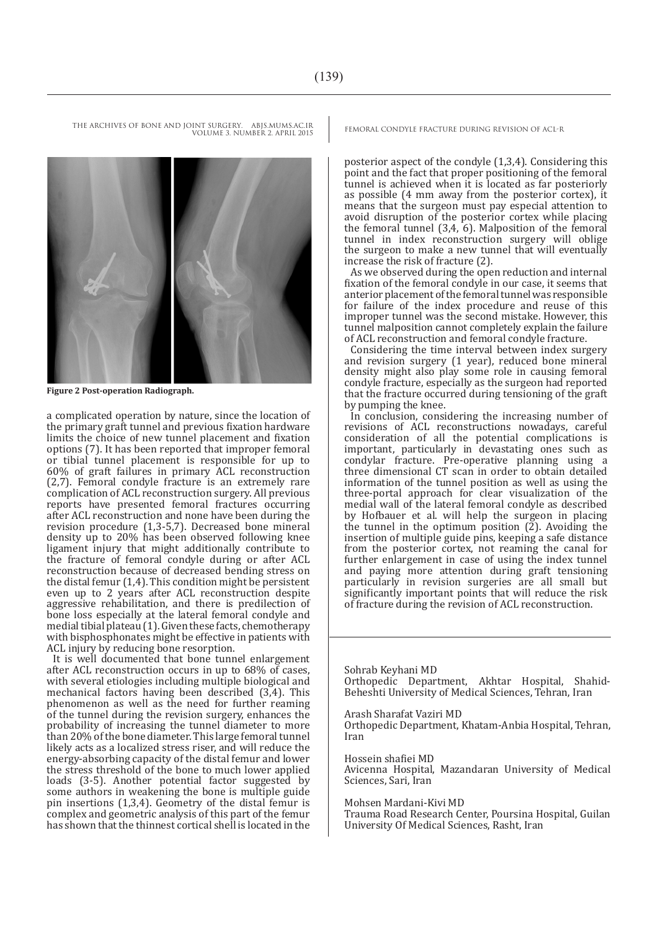THE ARCHIVES OF BONE AND JOINT SURGERY. ABJS.MUMS.AC.IR FEMORAL CONDYLE FRACTURE DURING REVISION OF ACL-R VOLUME 3. NUMBER 2. APRIL 2015

**Figure 2 Post-operation Radiograph.**

a complicated operation by nature, since the location of the primary graft tunnel and previous fixation hardware limits the choice of new tunnel placement and fixation options (7). It has been reported that improper femoral or tibial tunnel placement is responsible for up to 60% of graft failures in primary ACL reconstruction (2,7). Femoral condyle fracture is an extremely rare complication of ACL reconstruction surgery. All previous reports have presented femoral fractures occurring after ACL reconstruction and none have been during the revision procedure (1,3-5,7). Decreased bone mineral density up to 20% has been observed following knee ligament injury that might additionally contribute to the fracture of femoral condyle during or after ACL reconstruction because of decreased bending stress on the distal femur (1,4). This condition might be persistent even up to 2 years after ACL reconstruction despite aggressive rehabilitation, and there is predilection of bone loss especially at the lateral femoral condyle and medial tibial plateau (1). Given these facts, chemotherapy with bisphosphonates might be effective in patients with ACL injury by reducing bone resorption.

It is well documented that bone tunnel enlargement after ACL reconstruction occurs in up to 68% of cases, with several etiologies including multiple biological and mechanical factors having been described (3,4). This phenomenon as well as the need for further reaming of the tunnel during the revision surgery, enhances the probability of increasing the tunnel diameter to more than 20% of the bone diameter. This large femoral tunnel likely acts as a localized stress riser, and will reduce the energy-absorbing capacity of the distal femur and lower the stress threshold of the bone to much lower applied loads (3-5). Another potential factor suggested by some authors in weakening the bone is multiple guide pin insertions (1,3,4). Geometry of the distal femur is complex and geometric analysis of this part of the femur has shown that the thinnest cortical shell is located in the

posterior aspect of the condyle (1,3,4). Considering this point and the fact that proper positioning of the femoral tunnel is achieved when it is located as far posteriorly as possible (4 mm away from the posterior cortex), it means that the surgeon must pay especial attention to avoid disruption of the posterior cortex while placing the femoral tunnel (3,4, 6). Malposition of the femoral tunnel in index reconstruction surgery will oblige the surgeon to make a new tunnel that will eventually increase the risk of fracture (2).

As we observed during the open reduction and internal fixation of the femoral condyle in our case, it seems that anterior placement of the femoral tunnel was responsible for failure of the index procedure and reuse of this improper tunnel was the second mistake. However, this tunnel malposition cannot completely explain the failure of ACL reconstruction and femoral condyle fracture.

Considering the time interval between index surgery and revision surgery (1 year), reduced bone mineral density might also play some role in causing femoral condyle fracture, especially as the surgeon had reported that the fracture occurred during tensioning of the graft by pumping the knee.

In conclusion, considering the increasing number of revisions of ACL reconstructions nowadays, careful consideration of all the potential complications is important, particularly in devastating ones such as condylar fracture. Pre-operative planning using a three dimensional CT scan in order to obtain detailed information of the tunnel position as well as using the three-portal approach for clear visualization of the medial wall of the lateral femoral condyle as described by Hofbauer et al. will help the surgeon in placing the tunnel in the optimum position  $(\bar{2})$ . Avoiding the insertion of multiple guide pins, keeping a safe distance from the posterior cortex, not reaming the canal for further enlargement in case of using the index tunnel and paying more attention during graft tensioning particularly in revision surgeries are all small but significantly important points that will reduce the risk of fracture during the revision of ACL reconstruction.

Sohrab Keyhani MD Orthopedic Department, Akhtar Hospital, Shahid-Beheshti University of Medical Sciences, Tehran, Iran

Arash Sharafat Vaziri MD Orthopedic Department, Khatam-Anbia Hospital, Tehran, Iran

Hossein shafiei MD Avicenna Hospital, Mazandaran University of Medical Sciences, Sari, Iran

Mohsen Mardani-Kivi MD

Trauma Road Research Center, Poursina Hospital, Guilan University Of Medical Sciences, Rasht, Iran